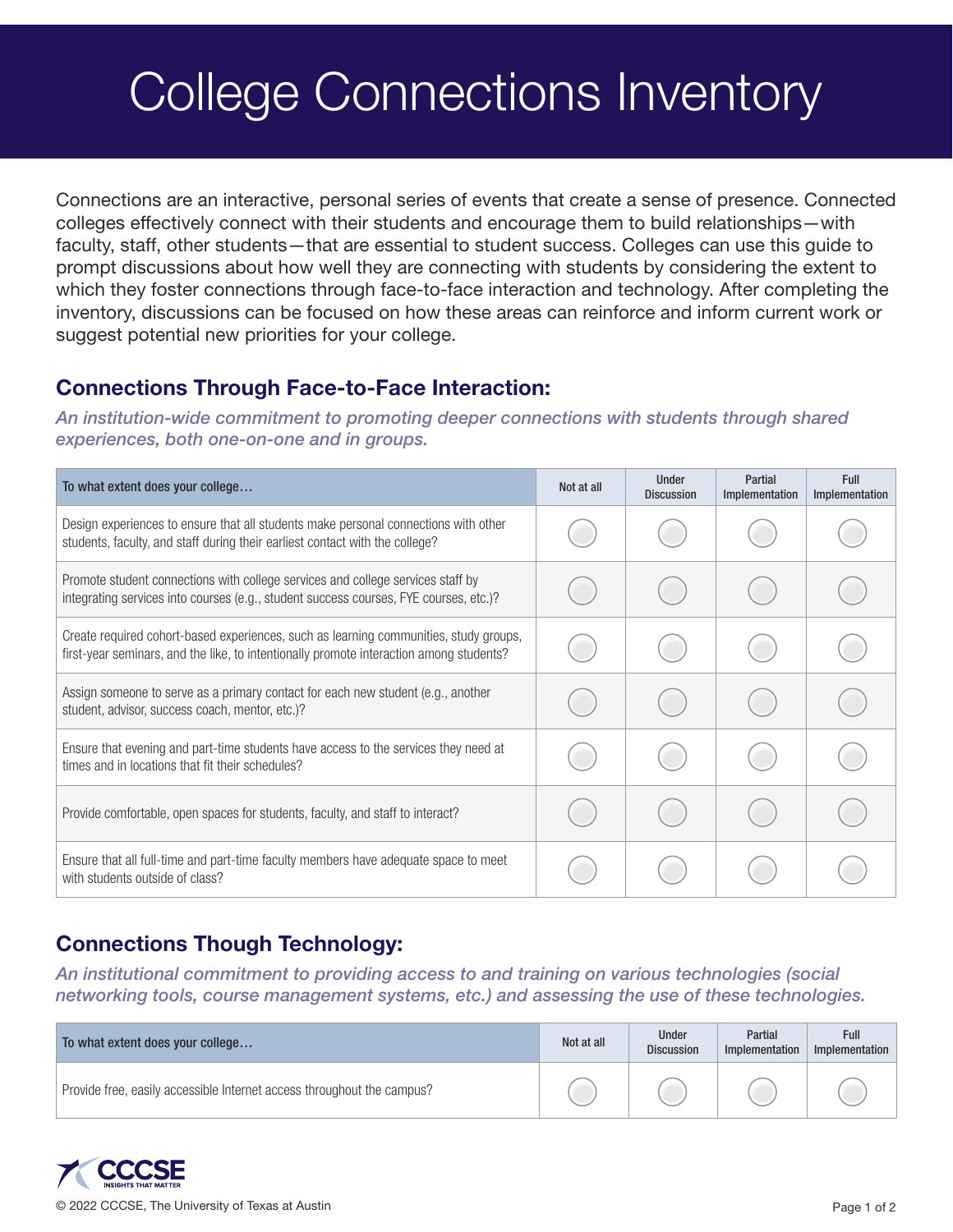## College Connections Inventory

Connections are an interactive, personal series of events that create a sense of presence. Connected colleges effectively connect with their students and encourage them to build relationships—with faculty, staff, other students—that are essential to student success. Colleges can use this guide to prompt discussions about how well they are connecting with students by considering the extent to which they foster connections through face-to-face interaction and technology. After completing the inventory, discussions can be focused on how these areas can reinforce and inform current work or suggest potential new priorities for your college.

## Connections Through Face-to-Face Interaction:

*An institution-wide commitment to promoting deeper connections with students through shared experiences, both one-on-one and in groups.*

| To what extent does your college                                                                                                                                                 | Not at all | <b>Under</b><br><b>Discussion</b> | Partial<br>Implementation | <b>Full</b><br>Implementation |
|----------------------------------------------------------------------------------------------------------------------------------------------------------------------------------|------------|-----------------------------------|---------------------------|-------------------------------|
| Design experiences to ensure that all students make personal connections with other<br>students, faculty, and staff during their earliest contact with the college?              |            |                                   |                           |                               |
| Promote student connections with college services and college services staff by<br>integrating services into courses (e.g., student success courses, FYE courses, etc.)?         |            |                                   |                           |                               |
| Create required cohort-based experiences, such as learning communities, study groups,<br>first-year seminars, and the like, to intentionally promote interaction among students? |            |                                   |                           |                               |
| Assign someone to serve as a primary contact for each new student (e.g., another<br>student, advisor, success coach, mentor, etc.)?                                              |            |                                   |                           |                               |
| Ensure that evening and part-time students have access to the services they need at<br>times and in locations that fit their schedules?                                          |            |                                   |                           |                               |
| Provide comfortable, open spaces for students, faculty, and staff to interact?                                                                                                   |            |                                   |                           |                               |
| Ensure that all full-time and part-time faculty members have adequate space to meet<br>with students outside of class?                                                           |            |                                   |                           |                               |

## Connections Though Technology:

*An institutional commitment to providing access to and training on various technologies (social networking tools, course management systems, etc.) and assessing the use of these technologies.*

| To what extent does your college                                       | Not at all | <b>Under</b><br><b>Discussion</b> | Partial<br>Implementation | Full<br>Implementation |
|------------------------------------------------------------------------|------------|-----------------------------------|---------------------------|------------------------|
| Provide free, easily accessible Internet access throughout the campus? |            |                                   |                           |                        |

© 2022 CCCSE, The University of Texas at Austin Page 1 of 2